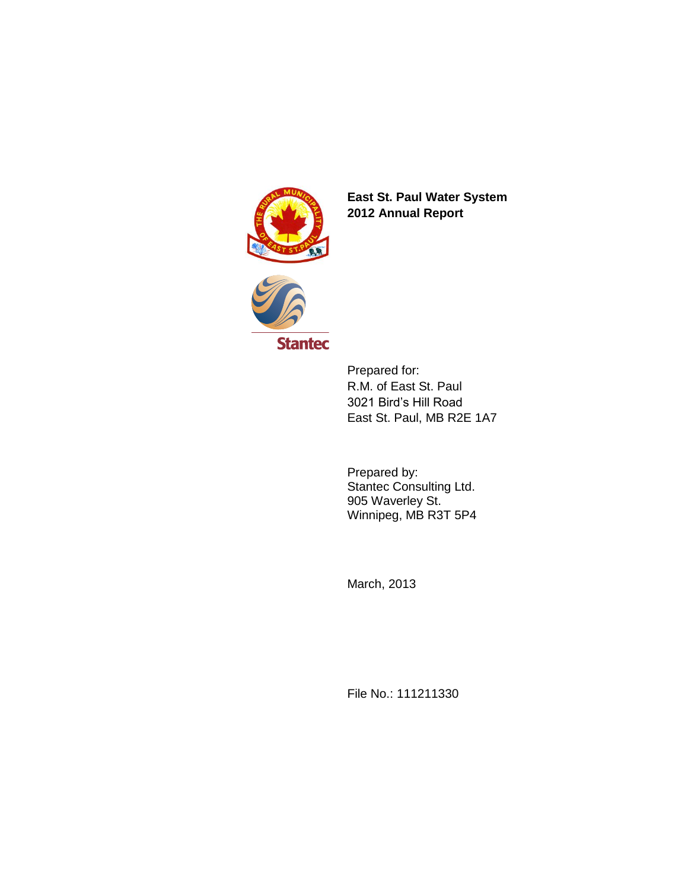

**East St. Paul Water System 2012 Annual Report** 



Prepared for: R.M. of East St. Paul 3021 Bird's Hill Road East St. Paul, MB R2E 1A7

Prepared by: Stantec Consulting Ltd. 905 Waverley St. Winnipeg, MB R3T 5P4

March, 2013

File No.: 111211330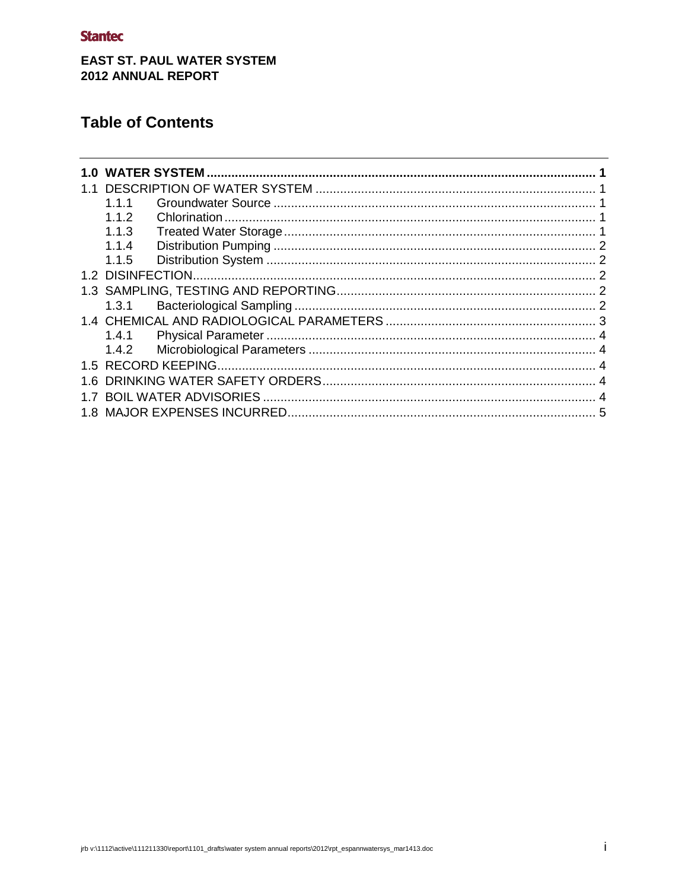# **Stantec**

# **EAST ST. PAUL WATER SYSTEM** 2012 ANNUAL REPORT

# **Table of Contents**

| 1.በ |       |  |  |  |  |
|-----|-------|--|--|--|--|
|     |       |  |  |  |  |
|     | 1.1.1 |  |  |  |  |
|     | 1.1.2 |  |  |  |  |
|     | 1.1.3 |  |  |  |  |
|     | 1.1.4 |  |  |  |  |
|     | 1.1.5 |  |  |  |  |
|     |       |  |  |  |  |
|     |       |  |  |  |  |
|     | 1.3.1 |  |  |  |  |
|     |       |  |  |  |  |
|     | 1.4.1 |  |  |  |  |
|     | 1.4.2 |  |  |  |  |
|     |       |  |  |  |  |
| 1.6 |       |  |  |  |  |
|     |       |  |  |  |  |
|     |       |  |  |  |  |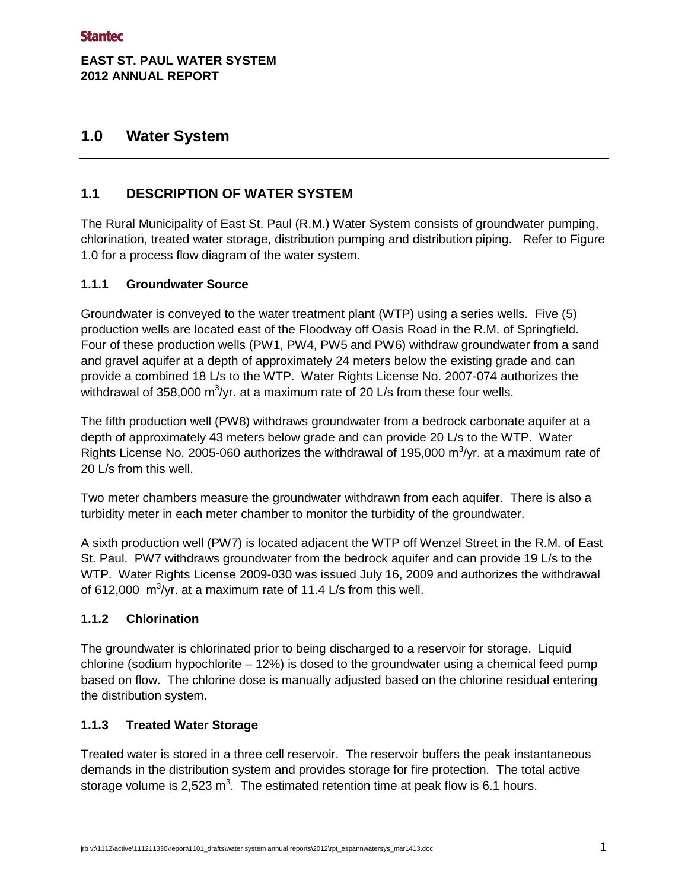## **EAST ST. PAUL WATER SYSTEM 2012 ANNUAL REPORT**

# <span id="page-2-0"></span>**1.0 Water System**

# <span id="page-2-1"></span>**1.1 DESCRIPTION OF WATER SYSTEM**

The Rural Municipality of East St. Paul (R.M.) Water System consists of groundwater pumping, chlorination, treated water storage, distribution pumping and distribution piping. Refer to Figure 1.0 for a process flow diagram of the water system.

## <span id="page-2-2"></span>**1.1.1 Groundwater Source**

Groundwater is conveyed to the water treatment plant (WTP) using a series wells. Five (5) production wells are located east of the Floodway off Oasis Road in the R.M. of Springfield. Four of these production wells (PW1, PW4, PW5 and PW6) withdraw groundwater from a sand and gravel aquifer at a depth of approximately 24 meters below the existing grade and can provide a combined 18 L/s to the WTP. Water Rights License No. 2007-074 authorizes the withdrawal of 358,000 m<sup>3</sup>/yr. at a maximum rate of 20 L/s from these four wells.

The fifth production well (PW8) withdraws groundwater from a bedrock carbonate aquifer at a depth of approximately 43 meters below grade and can provide 20 L/s to the WTP. Water Rights License No. 2005-060 authorizes the withdrawal of 195,000  $\text{m}^3/\text{yr}$ . at a maximum rate of 20 L/s from this well.

Two meter chambers measure the groundwater withdrawn from each aquifer. There is also a turbidity meter in each meter chamber to monitor the turbidity of the groundwater.

A sixth production well (PW7) is located adjacent the WTP off Wenzel Street in the R.M. of East St. Paul. PW7 withdraws groundwater from the bedrock aquifer and can provide 19 L/s to the WTP. Water Rights License 2009-030 was issued July 16, 2009 and authorizes the withdrawal of 612,000  $\mathrm{m}^3$ /yr. at a maximum rate of 11.4 L/s from this well.

#### <span id="page-2-3"></span>**1.1.2 Chlorination**

The groundwater is chlorinated prior to being discharged to a reservoir for storage. Liquid chlorine (sodium hypochlorite – 12%) is dosed to the groundwater using a chemical feed pump based on flow. The chlorine dose is manually adjusted based on the chlorine residual entering the distribution system.

## <span id="page-2-4"></span>**1.1.3 Treated Water Storage**

Treated water is stored in a three cell reservoir. The reservoir buffers the peak instantaneous demands in the distribution system and provides storage for fire protection. The total active storage volume is 2,523 m<sup>3</sup>. The estimated retention time at peak flow is 6.1 hours.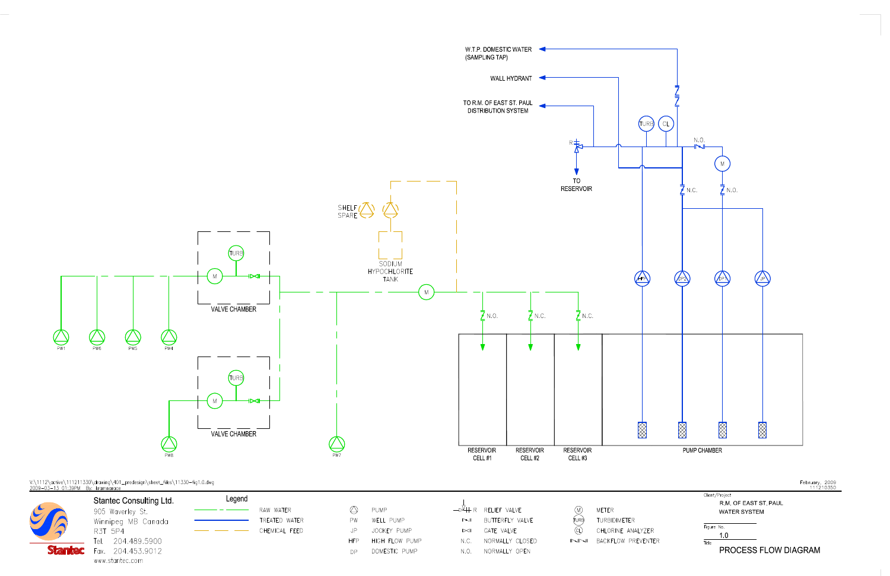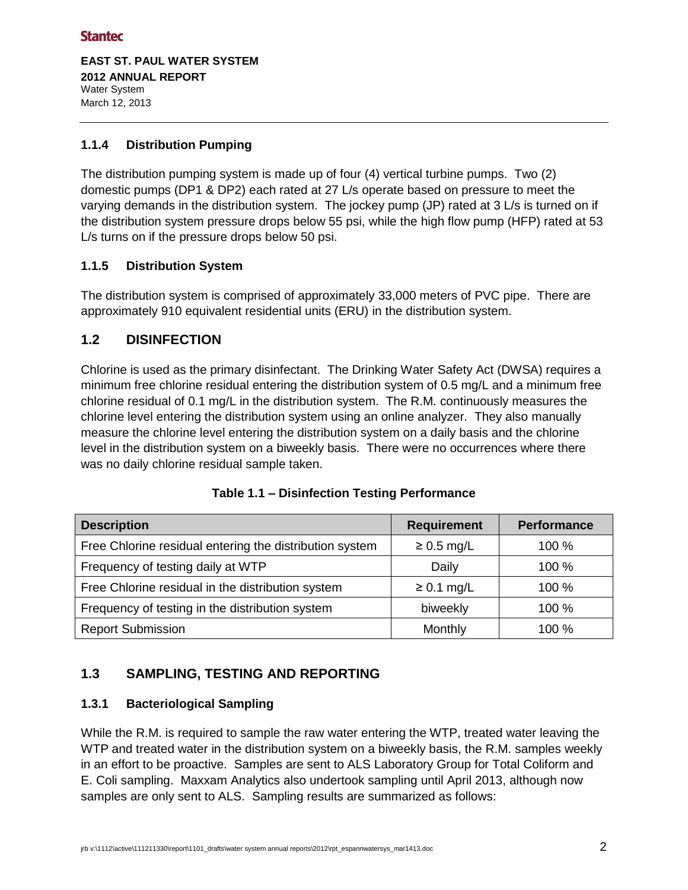### **Stantec**

**EAST ST. PAUL WATER SYSTEM 2012 ANNUAL REPORT**  Water System March 12, 2013

### <span id="page-4-0"></span>**1.1.4 Distribution Pumping**

The distribution pumping system is made up of four (4) vertical turbine pumps. Two (2) domestic pumps (DP1 & DP2) each rated at 27 L/s operate based on pressure to meet the varying demands in the distribution system. The jockey pump (JP) rated at 3 L/s is turned on if the distribution system pressure drops below 55 psi, while the high flow pump (HFP) rated at 53 L/s turns on if the pressure drops below 50 psi.

## <span id="page-4-1"></span>**1.1.5 Distribution System**

The distribution system is comprised of approximately 33,000 meters of PVC pipe. There are approximately 910 equivalent residential units (ERU) in the distribution system.

## <span id="page-4-2"></span>**1.2 DISINFECTION**

Chlorine is used as the primary disinfectant. The Drinking Water Safety Act (DWSA) requires a minimum free chlorine residual entering the distribution system of 0.5 mg/L and a minimum free chlorine residual of 0.1 mg/L in the distribution system. The R.M. continuously measures the chlorine level entering the distribution system using an online analyzer. They also manually measure the chlorine level entering the distribution system on a daily basis and the chlorine level in the distribution system on a biweekly basis. There were no occurrences where there was no daily chlorine residual sample taken.

| <b>Description</b>                                      | <b>Requirement</b> | <b>Performance</b> |
|---------------------------------------------------------|--------------------|--------------------|
| Free Chlorine residual entering the distribution system | $\geq 0.5$ mg/L    | 100 %              |
| Frequency of testing daily at WTP                       | Daily              | 100 %              |
| Free Chlorine residual in the distribution system       | $\geq 0.1$ mg/L    | 100 %              |
| Frequency of testing in the distribution system         | biweekly           | 100 %              |
| <b>Report Submission</b>                                | Monthly            | 100 %              |

#### **Table 1.1 – Disinfection Testing Performance**

# <span id="page-4-3"></span>**1.3 SAMPLING, TESTING AND REPORTING**

#### <span id="page-4-4"></span>**1.3.1 Bacteriological Sampling**

While the R.M. is required to sample the raw water entering the WTP, treated water leaving the WTP and treated water in the distribution system on a biweekly basis, the R.M. samples weekly in an effort to be proactive. Samples are sent to ALS Laboratory Group for Total Coliform and E. Coli sampling. Maxxam Analytics also undertook sampling until April 2013, although now samples are only sent to ALS. Sampling results are summarized as follows: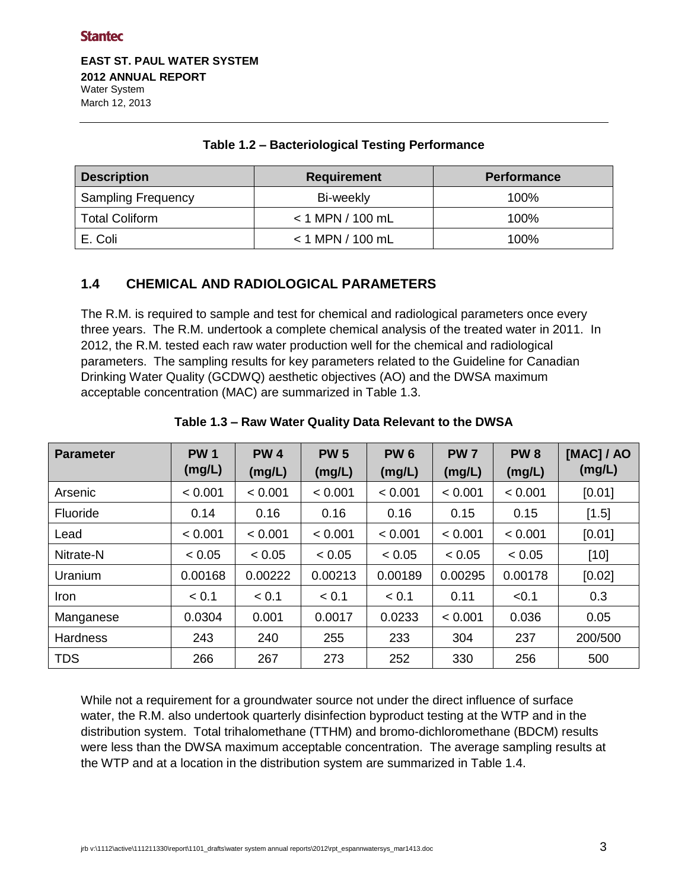**EAST ST. PAUL WATER SYSTEM 2012 ANNUAL REPORT**  Water System March 12, 2013

| <b>Description</b>        | <b>Requirement</b> | <b>Performance</b> |  |
|---------------------------|--------------------|--------------------|--|
| <b>Sampling Frequency</b> | Bi-weekly          | 100%               |  |
| <b>Total Coliform</b>     | $<$ 1 MPN / 100 mL | 100%               |  |
| E. Coli                   | $< 1$ MPN / 100 mL | 100%               |  |

#### **Table 1.2 – Bacteriological Testing Performance**

# <span id="page-5-0"></span>**1.4 CHEMICAL AND RADIOLOGICAL PARAMETERS**

The R.M. is required to sample and test for chemical and radiological parameters once every three years. The R.M. undertook a complete chemical analysis of the treated water in 2011. In 2012, the R.M. tested each raw water production well for the chemical and radiological parameters. The sampling results for key parameters related to the Guideline for Canadian Drinking Water Quality (GCDWQ) aesthetic objectives (AO) and the DWSA maximum acceptable concentration (MAC) are summarized in Table 1.3.

| <b>Parameter</b> | <b>PW1</b><br>(mg/L) | <b>PW4</b><br>(mg/L) | <b>PW 5</b><br>(mg/L) | <b>PW6</b><br>(mg/L) | <b>PW7</b><br>(mg/L) | <b>PW8</b><br>(mg/L) | [MAC] / AO<br>(mg/L) |
|------------------|----------------------|----------------------|-----------------------|----------------------|----------------------|----------------------|----------------------|
| Arsenic          | < 0.001              | < 0.001              | < 0.001               | < 0.001              | < 0.001              | < 0.001              | [0.01]               |
| Fluoride         | 0.14                 | 0.16                 | 0.16                  | 0.16                 | 0.15                 | 0.15                 | $[1.5]$              |
| Lead             | < 0.001              | < 0.001              | < 0.001               | < 0.001              | < 0.001              | < 0.001              | [0.01]               |
| Nitrate-N        | < 0.05               | < 0.05               | < 0.05                | < 0.05               | < 0.05               | < 0.05               | $[10]$               |
| Uranium          | 0.00168              | 0.00222              | 0.00213               | 0.00189              | 0.00295              | 0.00178              | [0.02]               |
| Iron             | < 0.1                | < 0.1                | < 0.1                 | < 0.1                | 0.11                 | < 0.1                | 0.3                  |
| Manganese        | 0.0304               | 0.001                | 0.0017                | 0.0233               | < 0.001              | 0.036                | 0.05                 |
| Hardness         | 243                  | 240                  | 255                   | 233                  | 304                  | 237                  | 200/500              |
| <b>TDS</b>       | 266                  | 267                  | 273                   | 252                  | 330                  | 256                  | 500                  |

#### **Table 1.3 – Raw Water Quality Data Relevant to the DWSA**

While not a requirement for a groundwater source not under the direct influence of surface water, the R.M. also undertook quarterly disinfection byproduct testing at the WTP and in the distribution system. Total trihalomethane (TTHM) and bromo-dichloromethane (BDCM) results were less than the DWSA maximum acceptable concentration. The average sampling results at the WTP and at a location in the distribution system are summarized in Table 1.4.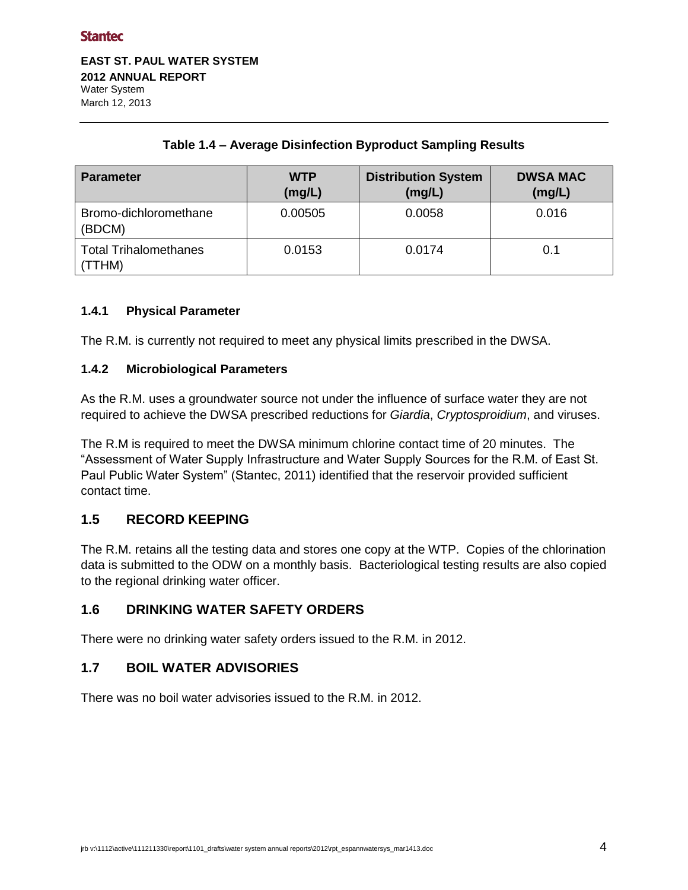**EAST ST. PAUL WATER SYSTEM 2012 ANNUAL REPORT**  Water System March 12, 2013

| <b>Parameter</b>                       | <b>WTP</b><br>(mg/L) | <b>Distribution System</b><br>(mg/L) | <b>DWSA MAC</b><br>(mg/L) |
|----------------------------------------|----------------------|--------------------------------------|---------------------------|
| Bromo-dichloromethane<br>(BDCM)        | 0.00505              | 0.0058                               | 0.016                     |
| <b>Total Trihalomethanes</b><br>(TTHM) | 0.0153               | 0.0174                               | 0.1                       |

## **Table 1.4 – Average Disinfection Byproduct Sampling Results**

## <span id="page-6-0"></span>**1.4.1 Physical Parameter**

The R.M. is currently not required to meet any physical limits prescribed in the DWSA.

#### <span id="page-6-1"></span>**1.4.2 Microbiological Parameters**

As the R.M. uses a groundwater source not under the influence of surface water they are not required to achieve the DWSA prescribed reductions for *Giardia*, *Cryptosproidium*, and viruses.

The R.M is required to meet the DWSA minimum chlorine contact time of 20 minutes. The "Assessment of Water Supply Infrastructure and Water Supply Sources for the R.M. of East St. Paul Public Water System" (Stantec, 2011) identified that the reservoir provided sufficient contact time.

## <span id="page-6-2"></span>**1.5 RECORD KEEPING**

The R.M. retains all the testing data and stores one copy at the WTP. Copies of the chlorination data is submitted to the ODW on a monthly basis. Bacteriological testing results are also copied to the regional drinking water officer.

#### <span id="page-6-3"></span>**1.6 DRINKING WATER SAFETY ORDERS**

There were no drinking water safety orders issued to the R.M. in 2012.

## <span id="page-6-4"></span>**1.7 BOIL WATER ADVISORIES**

<span id="page-6-5"></span>There was no boil water advisories issued to the R.M. in 2012.